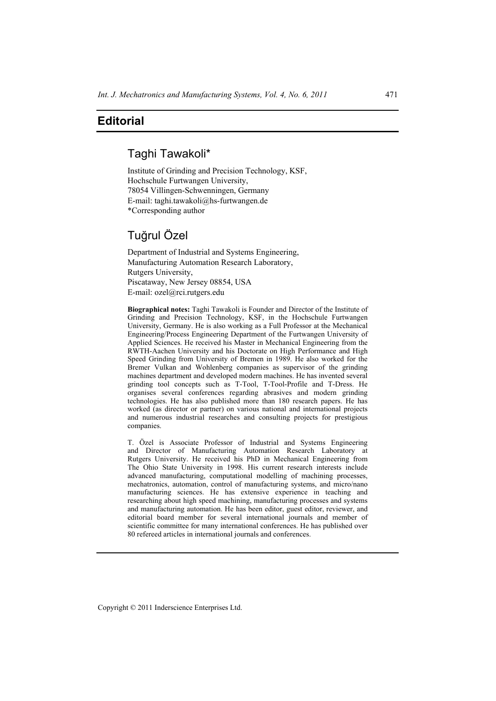## **Editorial**

## Taghi Tawakoli\*

Institute of Grinding and Precision Technology, KSF, Hochschule Furtwangen University, 78054 Villingen-Schwenningen, Germany E-mail: taghi.tawakoli@hs-furtwangen.de \*Corresponding author

## Tuğrul Özel

Department of Industrial and Systems Engineering, Manufacturing Automation Research Laboratory, Rutgers University, Piscataway, New Jersey 08854, USA E-mail: ozel@rci.rutgers.edu

**Biographical notes:** Taghi Tawakoli is Founder and Director of the Institute of Grinding and Precision Technology, KSF, in the Hochschule Furtwangen University, Germany. He is also working as a Full Professor at the Mechanical Engineering/Process Engineering Department of the Furtwangen University of Applied Sciences. He received his Master in Mechanical Engineering from the RWTH-Aachen University and his Doctorate on High Performance and High Speed Grinding from University of Bremen in 1989. He also worked for the Bremer Vulkan and Wohlenberg companies as supervisor of the grinding machines department and developed modern machines. He has invented several grinding tool concepts such as T-Tool, T-Tool-Profile and T-Dress. He organises several conferences regarding abrasives and modern grinding technologies. He has also published more than 180 research papers. He has worked (as director or partner) on various national and international projects and numerous industrial researches and consulting projects for prestigious companies.

T. Özel is Associate Professor of Industrial and Systems Engineering and Director of Manufacturing Automation Research Laboratory at Rutgers University. He received his PhD in Mechanical Engineering from The Ohio State University in 1998. His current research interests include advanced manufacturing, computational modelling of machining processes, mechatronics, automation, control of manufacturing systems, and micro/nano manufacturing sciences. He has extensive experience in teaching and researching about high speed machining, manufacturing processes and systems and manufacturing automation. He has been editor, guest editor, reviewer, and editorial board member for several international journals and member of scientific committee for many international conferences. He has published over 80 refereed articles in international journals and conferences.

Copyright © 2011 Inderscience Enterprises Ltd.